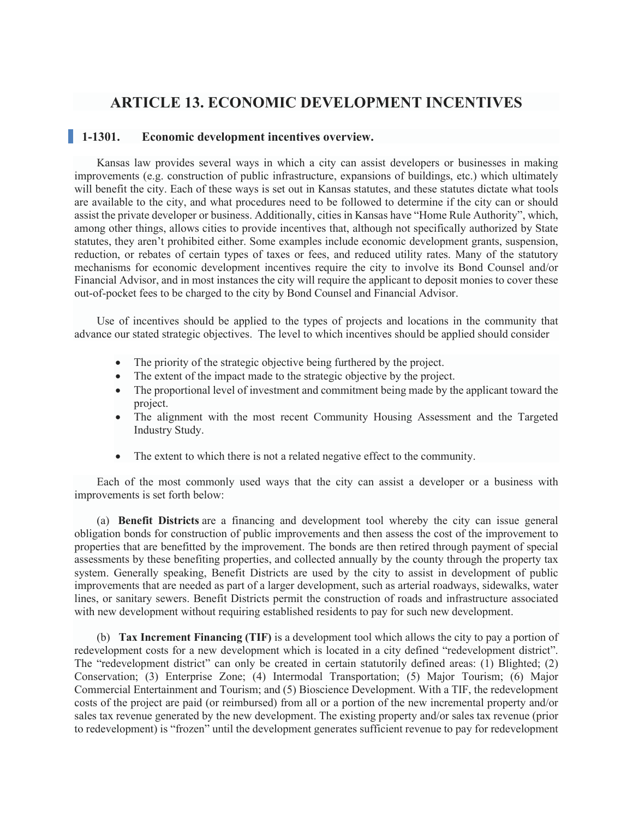# **ARTICLE 13. ECONOMIC DEVELOPMENT INCENTIVES**

### **1-1301. Economic development incentives overview.**

Kansas law provides several ways in which a city can assist developers or businesses in making improvements (e.g. construction of public infrastructure, expansions of buildings, etc.) which ultimately will benefit the city. Each of these ways is set out in Kansas statutes, and these statutes dictate what tools are available to the city, and what procedures need to be followed to determine if the city can or should assist the private developer or business. Additionally, cities in Kansas have "Home Rule Authority", which, among other things, allows cities to provide incentives that, although not specifically authorized by State statutes, they aren't prohibited either. Some examples include economic development grants, suspension, reduction, or rebates of certain types of taxes or fees, and reduced utility rates. Many of the statutory mechanisms for economic development incentives require the city to involve its Bond Counsel and/or Financial Advisor, and in most instances the city will require the applicant to deposit monies to cover these out-of-pocket fees to be charged to the city by Bond Counsel and Financial Advisor.

Use of incentives should be applied to the types of projects and locations in the community that advance our stated strategic objectives. The level to which incentives should be applied should consider

- The priority of the strategic objective being furthered by the project.
- The extent of the impact made to the strategic objective by the project.
- The proportional level of investment and commitment being made by the applicant toward the project.
- The alignment with the most recent Community Housing Assessment and the Targeted Industry Study.
- The extent to which there is not a related negative effect to the community.

Each of the most commonly used ways that the city can assist a developer or a business with improvements is set forth below:

(a) **Benefit Districts** are a financing and development tool whereby the city can issue general obligation bonds for construction of public improvements and then assess the cost of the improvement to properties that are benefitted by the improvement. The bonds are then retired through payment of special assessments by these benefiting properties, and collected annually by the county through the property tax system. Generally speaking, Benefit Districts are used by the city to assist in development of public improvements that are needed as part of a larger development, such as arterial roadways, sidewalks, water lines, or sanitary sewers. Benefit Districts permit the construction of roads and infrastructure associated with new development without requiring established residents to pay for such new development.

(b) **Tax Increment Financing (TIF)** is a development tool which allows the city to pay a portion of redevelopment costs for a new development which is located in a city defined "redevelopment district". The "redevelopment district" can only be created in certain statutorily defined areas: (1) Blighted; (2) Conservation; (3) Enterprise Zone; (4) Intermodal Transportation; (5) Major Tourism; (6) Major Commercial Entertainment and Tourism; and (5) Bioscience Development. With a TIF, the redevelopment costs of the project are paid (or reimbursed) from all or a portion of the new incremental property and/or sales tax revenue generated by the new development. The existing property and/or sales tax revenue (prior to redevelopment) is "frozen" until the development generates sufficient revenue to pay for redevelopment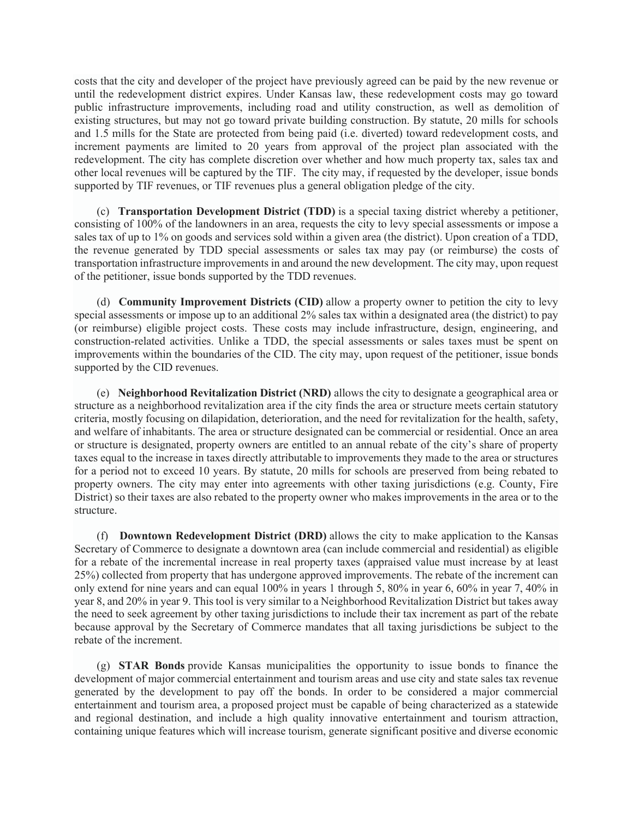costs that the city and developer of the project have previously agreed can be paid by the new revenue or until the redevelopment district expires. Under Kansas law, these redevelopment costs may go toward public infrastructure improvements, including road and utility construction, as well as demolition of existing structures, but may not go toward private building construction. By statute, 20 mills for schools and 1.5 mills for the State are protected from being paid (i.e. diverted) toward redevelopment costs, and increment payments are limited to 20 years from approval of the project plan associated with the redevelopment. The city has complete discretion over whether and how much property tax, sales tax and other local revenues will be captured by the TIF. The city may, if requested by the developer, issue bonds supported by TIF revenues, or TIF revenues plus a general obligation pledge of the city.

(c) **Transportation Development District (TDD)** is a special taxing district whereby a petitioner, consisting of 100% of the landowners in an area, requests the city to levy special assessments or impose a sales tax of up to 1% on goods and services sold within a given area (the district). Upon creation of a TDD, the revenue generated by TDD special assessments or sales tax may pay (or reimburse) the costs of transportation infrastructure improvements in and around the new development. The city may, upon request of the petitioner, issue bonds supported by the TDD revenues.

(d) **Community Improvement Districts (CID)** allow a property owner to petition the city to levy special assessments or impose up to an additional 2% sales tax within a designated area (the district) to pay (or reimburse) eligible project costs. These costs may include infrastructure, design, engineering, and construction-related activities. Unlike a TDD, the special assessments or sales taxes must be spent on improvements within the boundaries of the CID. The city may, upon request of the petitioner, issue bonds supported by the CID revenues.

(e) **Neighborhood Revitalization District (NRD)** allows the city to designate a geographical area or structure as a neighborhood revitalization area if the city finds the area or structure meets certain statutory criteria, mostly focusing on dilapidation, deterioration, and the need for revitalization for the health, safety, and welfare of inhabitants. The area or structure designated can be commercial or residential. Once an area or structure is designated, property owners are entitled to an annual rebate of the city's share of property taxes equal to the increase in taxes directly attributable to improvements they made to the area or structures for a period not to exceed 10 years. By statute, 20 mills for schools are preserved from being rebated to property owners. The city may enter into agreements with other taxing jurisdictions (e.g. County, Fire District) so their taxes are also rebated to the property owner who makes improvements in the area or to the structure.

(f) **Downtown Redevelopment District (DRD)** allows the city to make application to the Kansas Secretary of Commerce to designate a downtown area (can include commercial and residential) as eligible for a rebate of the incremental increase in real property taxes (appraised value must increase by at least 25%) collected from property that has undergone approved improvements. The rebate of the increment can only extend for nine years and can equal 100% in years 1 through 5, 80% in year 6, 60% in year 7, 40% in year 8, and 20% in year 9. This tool is very similar to a Neighborhood Revitalization District but takes away the need to seek agreement by other taxing jurisdictions to include their tax increment as part of the rebate because approval by the Secretary of Commerce mandates that all taxing jurisdictions be subject to the rebate of the increment.

(g) **STAR Bonds** provide Kansas municipalities the opportunity to issue bonds to finance the development of major commercial entertainment and tourism areas and use city and state sales tax revenue generated by the development to pay off the bonds. In order to be considered a major commercial entertainment and tourism area, a proposed project must be capable of being characterized as a statewide and regional destination, and include a high quality innovative entertainment and tourism attraction, containing unique features which will increase tourism, generate significant positive and diverse economic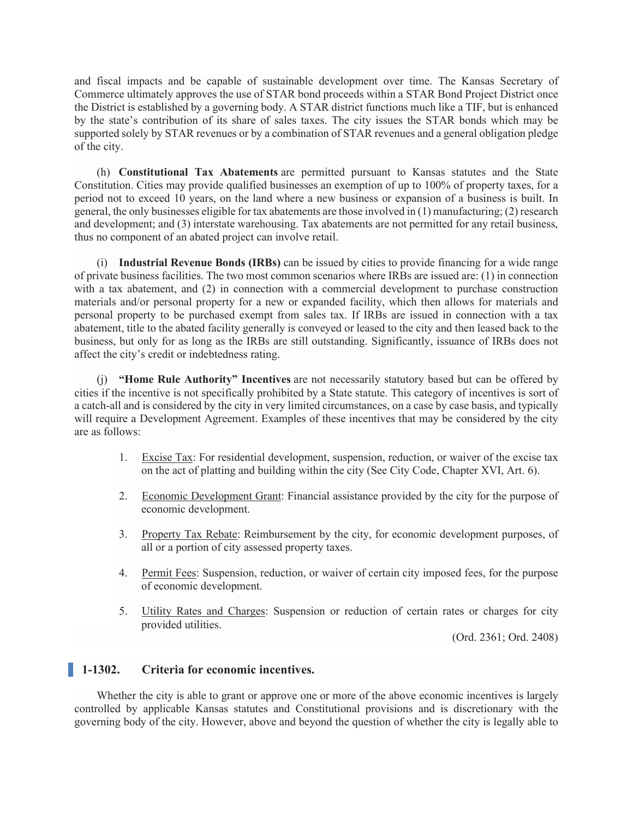and fiscal impacts and be capable of sustainable development over time. The Kansas Secretary of Commerce ultimately approves the use of STAR bond proceeds within a STAR Bond Project District once the District is established by a governing body. A STAR district functions much like a TIF, but is enhanced by the state's contribution of its share of sales taxes. The city issues the STAR bonds which may be supported solely by STAR revenues or by a combination of STAR revenues and a general obligation pledge of the city.

(h) **Constitutional Tax Abatements** are permitted pursuant to Kansas statutes and the State Constitution. Cities may provide qualified businesses an exemption of up to 100% of property taxes, for a period not to exceed 10 years, on the land where a new business or expansion of a business is built. In general, the only businesses eligible for tax abatements are those involved in (1) manufacturing; (2) research and development; and (3) interstate warehousing. Tax abatements are not permitted for any retail business, thus no component of an abated project can involve retail.

(i) **Industrial Revenue Bonds (IRBs)** can be issued by cities to provide financing for a wide range of private business facilities. The two most common scenarios where IRBs are issued are: (1) in connection with a tax abatement, and (2) in connection with a commercial development to purchase construction materials and/or personal property for a new or expanded facility, which then allows for materials and personal property to be purchased exempt from sales tax. If IRBs are issued in connection with a tax abatement, title to the abated facility generally is conveyed or leased to the city and then leased back to the business, but only for as long as the IRBs are still outstanding. Significantly, issuance of IRBs does not affect the city's credit or indebtedness rating.

(j) **"Home Rule Authority" Incentives** are not necessarily statutory based but can be offered by cities if the incentive is not specifically prohibited by a State statute. This category of incentives is sort of a catch-all and is considered by the city in very limited circumstances, on a case by case basis, and typically will require a Development Agreement. Examples of these incentives that may be considered by the city are as follows:

- 1. Excise Tax: For residential development, suspension, reduction, or waiver of the excise tax on the act of platting and building within the city (See City Code, Chapter XVI, Art. 6).
- 2. Economic Development Grant: Financial assistance provided by the city for the purpose of economic development.
- 3. Property Tax Rebate: Reimbursement by the city, for economic development purposes, of all or a portion of city assessed property taxes.
- 4. Permit Fees: Suspension, reduction, or waiver of certain city imposed fees, for the purpose of economic development.
- 5. Utility Rates and Charges: Suspension or reduction of certain rates or charges for city provided utilities.

(Ord. 2361; Ord. 2408)

## **1-1302. Criteria for economic incentives.**

Whether the city is able to grant or approve one or more of the above economic incentives is largely controlled by applicable Kansas statutes and Constitutional provisions and is discretionary with the governing body of the city. However, above and beyond the question of whether the city is legally able to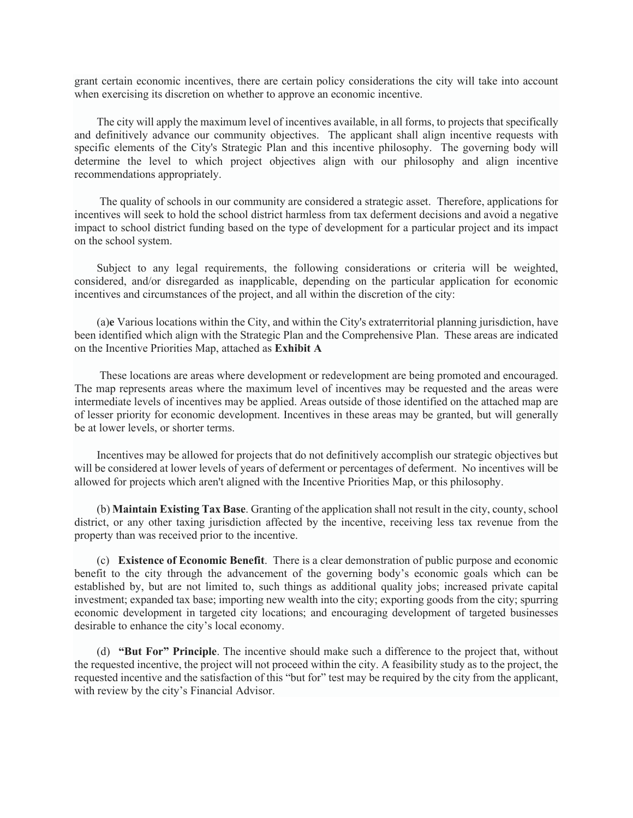grant certain economic incentives, there are certain policy considerations the city will take into account when exercising its discretion on whether to approve an economic incentive.

The city will apply the maximum level of incentives available, in all forms, to projects that specifically and definitively advance our community objectives. The applicant shall align incentive requests with specific elements of the City's Strategic Plan and this incentive philosophy. The governing body will determine the level to which project objectives align with our philosophy and align incentive recommendations appropriately.

The quality of schools in our community are considered a strategic asset. Therefore, applications for incentives will seek to hold the school district harmless from tax deferment decisions and avoid a negative impact to school district funding based on the type of development for a particular project and its impact on the school system.

Subject to any legal requirements, the following considerations or criteria will be weighted, considered, and/or disregarded as inapplicable, depending on the particular application for economic incentives and circumstances of the project, and all within the discretion of the city:

(a)**e** Various locations within the City, and within the City's extraterritorial planning jurisdiction, have been identified which align with the Strategic Plan and the Comprehensive Plan. These areas are indicated on the Incentive Priorities Map, attached as **Exhibit A**

These locations are areas where development or redevelopment are being promoted and encouraged. The map represents areas where the maximum level of incentives may be requested and the areas were intermediate levels of incentives may be applied. Areas outside of those identified on the attached map are of lesser priority for economic development. Incentives in these areas may be granted, but will generally be at lower levels, or shorter terms.

Incentives may be allowed for projects that do not definitively accomplish our strategic objectives but will be considered at lower levels of years of deferment or percentages of deferment. No incentives will be allowed for projects which aren't aligned with the Incentive Priorities Map, or this philosophy.

(b) **Maintain Existing Tax Base**. Granting of the application shall not result in the city, county, school district, or any other taxing jurisdiction affected by the incentive, receiving less tax revenue from the property than was received prior to the incentive.

(c) **Existence of Economic Benefit**. There is a clear demonstration of public purpose and economic benefit to the city through the advancement of the governing body's economic goals which can be established by, but are not limited to, such things as additional quality jobs; increased private capital investment; expanded tax base; importing new wealth into the city; exporting goods from the city; spurring economic development in targeted city locations; and encouraging development of targeted businesses desirable to enhance the city's local economy.

(d) **"But For" Principle**. The incentive should make such a difference to the project that, without the requested incentive, the project will not proceed within the city. A feasibility study as to the project, the requested incentive and the satisfaction of this "but for" test may be required by the city from the applicant, with review by the city's Financial Advisor.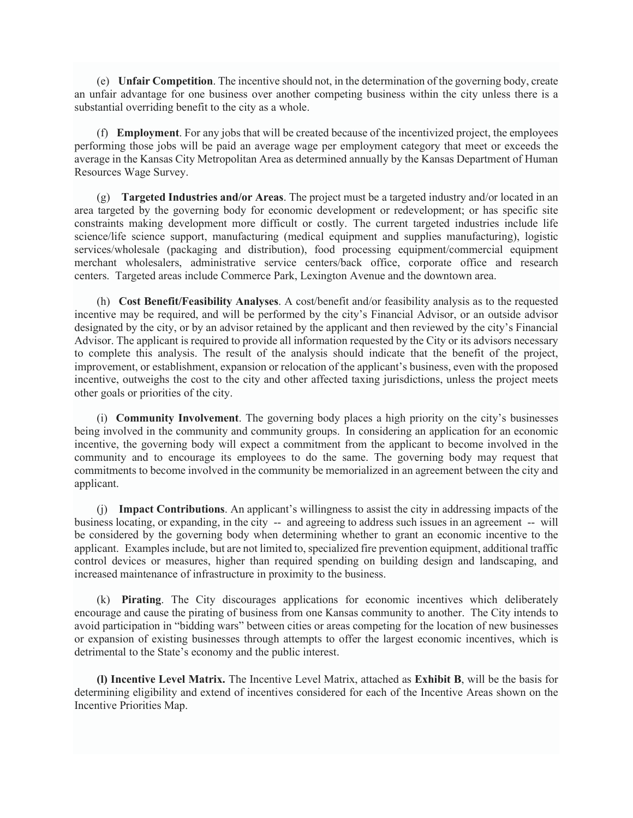(e) **Unfair Competition**. The incentive should not, in the determination of the governing body, create an unfair advantage for one business over another competing business within the city unless there is a substantial overriding benefit to the city as a whole.

(f) **Employment**. For any jobs that will be created because of the incentivized project, the employees performing those jobs will be paid an average wage per employment category that meet or exceeds the average in the Kansas City Metropolitan Area as determined annually by the Kansas Department of Human Resources Wage Survey.

(g) **Targeted Industries and/or Areas**. The project must be a targeted industry and/or located in an area targeted by the governing body for economic development or redevelopment; or has specific site constraints making development more difficult or costly. The current targeted industries include life science/life science support, manufacturing (medical equipment and supplies manufacturing), logistic services/wholesale (packaging and distribution), food processing equipment/commercial equipment merchant wholesalers, administrative service centers/back office, corporate office and research centers. Targeted areas include Commerce Park, Lexington Avenue and the downtown area.

(h) **Cost Benefit/Feasibility Analyses**. A cost/benefit and/or feasibility analysis as to the requested incentive may be required, and will be performed by the city's Financial Advisor, or an outside advisor designated by the city, or by an advisor retained by the applicant and then reviewed by the city's Financial Advisor. The applicant is required to provide all information requested by the City or its advisors necessary to complete this analysis. The result of the analysis should indicate that the benefit of the project, improvement, or establishment, expansion or relocation of the applicant's business, even with the proposed incentive, outweighs the cost to the city and other affected taxing jurisdictions, unless the project meets other goals or priorities of the city.

(i) **Community Involvement**. The governing body places a high priority on the city's businesses being involved in the community and community groups. In considering an application for an economic incentive, the governing body will expect a commitment from the applicant to become involved in the community and to encourage its employees to do the same. The governing body may request that commitments to become involved in the community be memorialized in an agreement between the city and applicant.

(j) **Impact Contributions**. An applicant's willingness to assist the city in addressing impacts of the business locating, or expanding, in the city -- and agreeing to address such issues in an agreement -- will be considered by the governing body when determining whether to grant an economic incentive to the applicant. Examples include, but are not limited to, specialized fire prevention equipment, additional traffic control devices or measures, higher than required spending on building design and landscaping, and increased maintenance of infrastructure in proximity to the business.

(k) **Pirating**. The City discourages applications for economic incentives which deliberately encourage and cause the pirating of business from one Kansas community to another. The City intends to avoid participation in "bidding wars" between cities or areas competing for the location of new businesses or expansion of existing businesses through attempts to offer the largest economic incentives, which is detrimental to the State's economy and the public interest.

**(l) Incentive Level Matrix.** The Incentive Level Matrix, attached as **Exhibit B**, will be the basis for determining eligibility and extend of incentives considered for each of the Incentive Areas shown on the Incentive Priorities Map.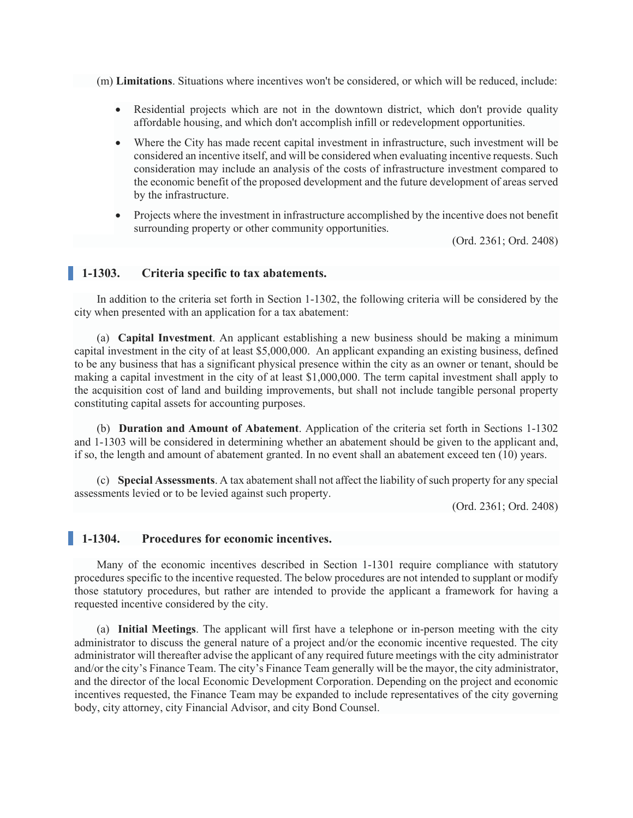(m) **Limitations**. Situations where incentives won't be considered, or which will be reduced, include:

- Residential projects which are not in the downtown district, which don't provide quality affordable housing, and which don't accomplish infill or redevelopment opportunities.
- Where the City has made recent capital investment in infrastructure, such investment will be considered an incentive itself, and will be considered when evaluating incentive requests. Such consideration may include an analysis of the costs of infrastructure investment compared to the economic benefit of the proposed development and the future development of areas served by the infrastructure.
- Projects where the investment in infrastructure accomplished by the incentive does not benefit surrounding property or other community opportunities.

(Ord. 2361; Ord. 2408)

## **1-1303. Criteria specific to tax abatements.**

In addition to the criteria set forth in Section 1-1302, the following criteria will be considered by the city when presented with an application for a tax abatement:

(a) **Capital Investment**. An applicant establishing a new business should be making a minimum capital investment in the city of at least \$5,000,000. An applicant expanding an existing business, defined to be any business that has a significant physical presence within the city as an owner or tenant, should be making a capital investment in the city of at least \$1,000,000. The term capital investment shall apply to the acquisition cost of land and building improvements, but shall not include tangible personal property constituting capital assets for accounting purposes.

(b) **Duration and Amount of Abatement**. Application of the criteria set forth in Sections 1-1302 and 1-1303 will be considered in determining whether an abatement should be given to the applicant and, if so, the length and amount of abatement granted. In no event shall an abatement exceed ten (10) years.

(c) **Special Assessments**. A tax abatement shall not affect the liability of such property for any special assessments levied or to be levied against such property.

(Ord. 2361; Ord. 2408)

#### **1-1304. Procedures for economic incentives.**

Many of the economic incentives described in Section 1-1301 require compliance with statutory procedures specific to the incentive requested. The below procedures are not intended to supplant or modify those statutory procedures, but rather are intended to provide the applicant a framework for having a requested incentive considered by the city.

(a) **Initial Meetings**. The applicant will first have a telephone or in-person meeting with the city administrator to discuss the general nature of a project and/or the economic incentive requested. The city administrator will thereafter advise the applicant of any required future meetings with the city administrator and/or the city's Finance Team. The city's Finance Team generally will be the mayor, the city administrator, and the director of the local Economic Development Corporation. Depending on the project and economic incentives requested, the Finance Team may be expanded to include representatives of the city governing body, city attorney, city Financial Advisor, and city Bond Counsel.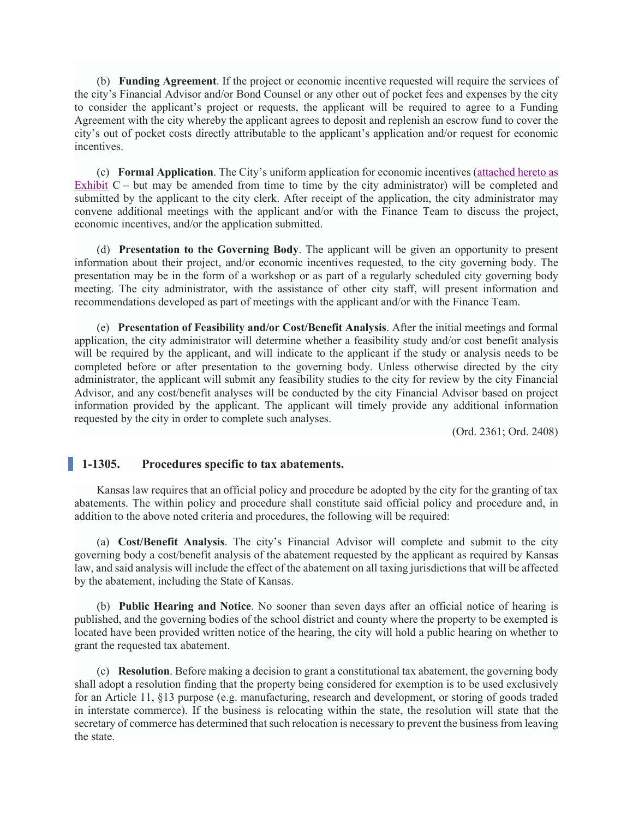(b) **Funding Agreement**. If the project or economic incentive requested will require the services of the city's Financial Advisor and/or Bond Counsel or any other out of pocket fees and expenses by the city to consider the applicant's project or requests, the applicant will be required to agree to a Funding Agreement with the city whereby the applicant agrees to deposit and replenish an escrow fund to cover the city's out of pocket costs directly attributable to the applicant's application and/or request for economic incentives.

(c) **Formal Application**. The City's uniform application for economic incentives (attached hereto as Exhibit  $C$  – but may be amended from time to time by the city administrator) will be completed and submitted by the applicant to the city clerk. After receipt of the application, the city administrator may convene additional meetings with the applicant and/or with the Finance Team to discuss the project, economic incentives, and/or the application submitted.

(d) **Presentation to the Governing Body**. The applicant will be given an opportunity to present information about their project, and/or economic incentives requested, to the city governing body. The presentation may be in the form of a workshop or as part of a regularly scheduled city governing body meeting. The city administrator, with the assistance of other city staff, will present information and recommendations developed as part of meetings with the applicant and/or with the Finance Team.

(e) **Presentation of Feasibility and/or Cost/Benefit Analysis**. After the initial meetings and formal application, the city administrator will determine whether a feasibility study and/or cost benefit analysis will be required by the applicant, and will indicate to the applicant if the study or analysis needs to be completed before or after presentation to the governing body. Unless otherwise directed by the city administrator, the applicant will submit any feasibility studies to the city for review by the city Financial Advisor, and any cost/benefit analyses will be conducted by the city Financial Advisor based on project information provided by the applicant. The applicant will timely provide any additional information requested by the city in order to complete such analyses.

(Ord. 2361; Ord. 2408)

#### **1-1305. Procedures specific to tax abatements.**

Kansas law requires that an official policy and procedure be adopted by the city for the granting of tax abatements. The within policy and procedure shall constitute said official policy and procedure and, in addition to the above noted criteria and procedures, the following will be required:

(a) **Cost/Benefit Analysis**. The city's Financial Advisor will complete and submit to the city governing body a cost/benefit analysis of the abatement requested by the applicant as required by Kansas law, and said analysis will include the effect of the abatement on all taxing jurisdictions that will be affected by the abatement, including the State of Kansas.

(b) **Public Hearing and Notice**. No sooner than seven days after an official notice of hearing is published, and the governing bodies of the school district and county where the property to be exempted is located have been provided written notice of the hearing, the city will hold a public hearing on whether to grant the requested tax abatement.

(c) **Resolution**. Before making a decision to grant a constitutional tax abatement, the governing body shall adopt a resolution finding that the property being considered for exemption is to be used exclusively for an Article 11, §13 purpose (e.g. manufacturing, research and development, or storing of goods traded in interstate commerce). If the business is relocating within the state, the resolution will state that the secretary of commerce has determined that such relocation is necessary to prevent the business from leaving the state.